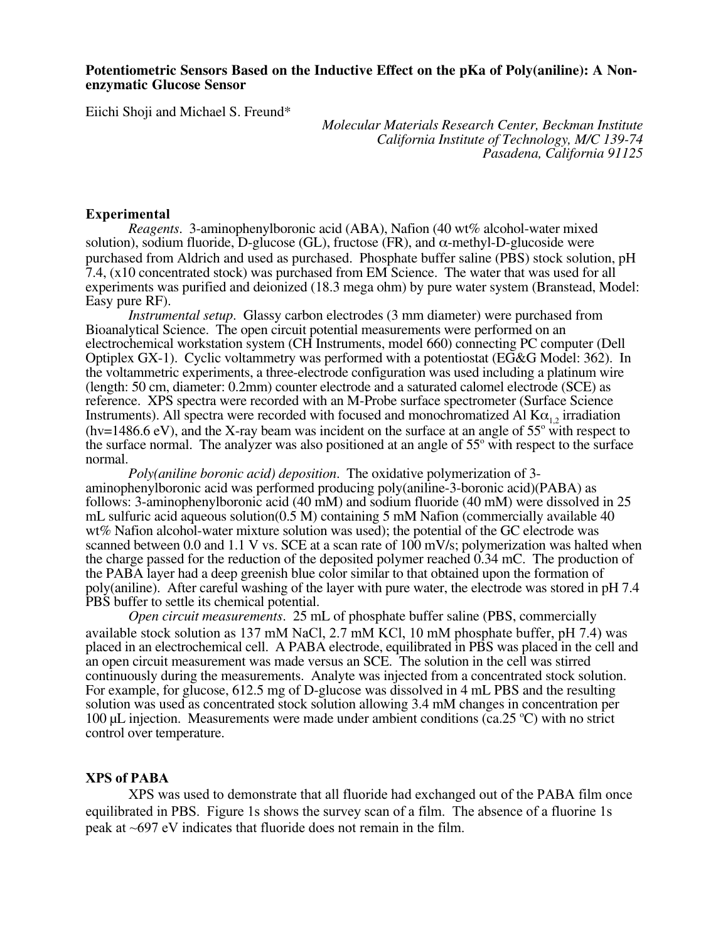## **Potentiometric Sensors Based on the Inductive Effect on the pKa of Poly(aniline): A Nonenzymatic Glucose Sensor**

Eiichi Shoji and Michael S. Freund\*

*Molecular Materials Research Center, Beckman Institute California Institute of Technology, M/C 139-74 Pasadena, California 91125*

## **Experimental**

*Reagents*. 3-aminophenylboronic acid (ABA), Nafion (40 wt% alcohol-water mixed solution), sodium fluoride, D-glucose (GL), fructose (FR), and  $\alpha$ -methyl-D-glucoside were purchased from Aldrich and used as purchased. Phosphate buffer saline (PBS) stock solution, pH 7.4, (x10 concentrated stock) was purchased from EM Science. The water that was used for all experiments was purified and deionized (18.3 mega ohm) by pure water system (Branstead, Model: Easy pure RF).

*Instrumental setup*. Glassy carbon electrodes (3 mm diameter) were purchased from Bioanalytical Science. The open circuit potential measurements were performed on an electrochemical workstation system (CH Instruments, model 660) connecting PC computer (Dell Optiplex GX-1). Cyclic voltammetry was performed with a potentiostat (EG&G Model: 362). In the voltammetric experiments, a three-electrode configuration was used including a platinum wire (length: 50 cm, diameter: 0.2mm) counter electrode and a saturated calomel electrode (SCE) as reference. XPS spectra were recorded with an M-Probe surface spectrometer (Surface Science Instruments). All spectra were recorded with focused and monochromatized Al  $\text{K}\alpha_{12}$  irradiation (hv=1486.6 eV), and the X-ray beam was incident on the surface at an angle of  $55^{\circ}$  with respect to the surface normal. The analyzer was also positioned at an angle of  $55^{\circ}$  with respect to the surface normal.

*Poly(aniline boronic acid) deposition*. The oxidative polymerization of 3 aminophenylboronic acid was performed producing poly(aniline-3-boronic acid)(PABA) as follows: 3-aminophenylboronic acid (40 mM) and sodium fluoride (40 mM) were dissolved in 25 mL sulfuric acid aqueous solution(0.5 M) containing 5 mM Nafion (commercially available 40 wt% Nafion alcohol-water mixture solution was used); the potential of the GC electrode was scanned between 0.0 and 1.1 V vs. SCE at a scan rate of 100 mV/s; polymerization was halted when the charge passed for the reduction of the deposited polymer reached 0.34 mC. The production of the PABA layer had a deep greenish blue color similar to that obtained upon the formation of poly(aniline). After careful washing of the layer with pure water, the electrode was stored in pH 7.4 PBS buffer to settle its chemical potential.

*Open circuit measurements*. 25 mL of phosphate buffer saline (PBS, commercially available stock solution as 137 mM NaCl, 2.7 mM KCl, 10 mM phosphate buffer, pH 7.4) was placed in an electrochemical cell. A PABA electrode, equilibrated in PBS was placed in the cell and an open circuit measurement was made versus an SCE. The solution in the cell was stirred continuously during the measurements. Analyte was injected from a concentrated stock solution. For example, for glucose, 612.5 mg of D-glucose was dissolved in 4 mL PBS and the resulting solution was used as concentrated stock solution allowing 3.4 mM changes in concentration per 100  $\mu$ L injection. Measurements were made under ambient conditions (ca.25 °C) with no strict control over temperature.

## **XPS of PABA**

XPS was used to demonstrate that all fluoride had exchanged out of the PABA film once equilibrated in PBS. Figure 1s shows the survey scan of a film. The absence of a fluorine 1s peak at ~697 eV indicates that fluoride does not remain in the film.